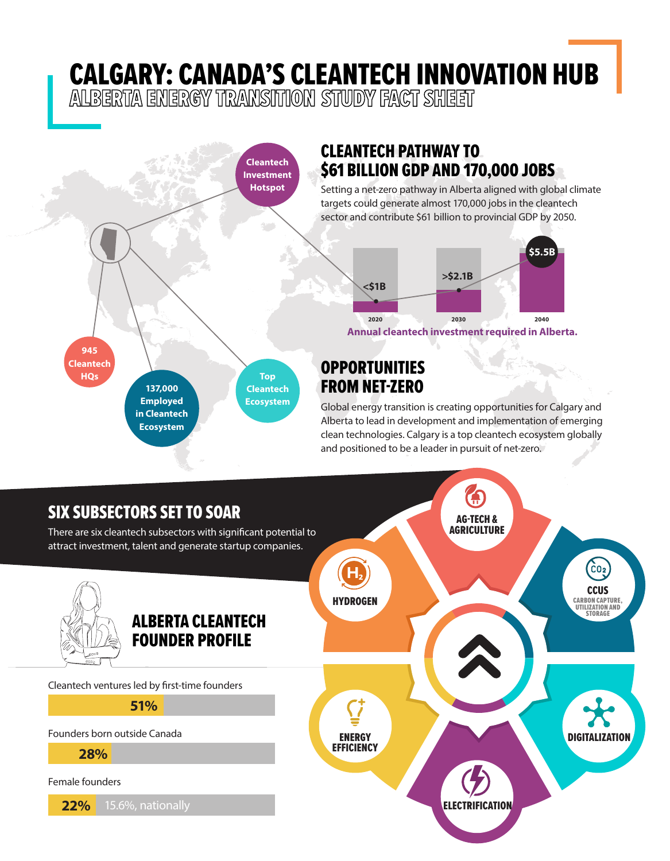## **CALGARY: CANADA'S CLEANTECH INNOVATION HUB**<br>ALBERTA ENERGY TRANSITION STUDY FACT SHEET



clean technologies. Calgary is a top cleantech ecosystem globally and positioned to be a leader in pursuit of net-zero.